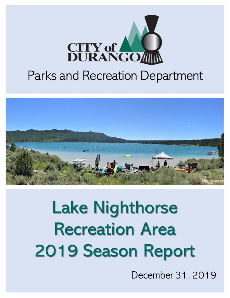

# **Parks and Recreation Department**



# **Lake Nighthorse Recreation Area** 2019 Season Report

December 31, 2019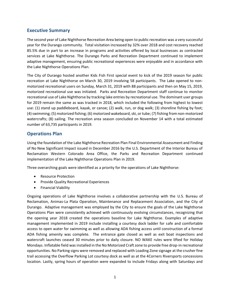#### **Executive Summary**

The second year of Lake Nighthorse Recreation Area being open to public recreation was a very successful year for the Durango community. Total visitation increased by 32% over 2018 and cost recovery reached 85.5% due in part to an increase in programs and activities offered by local businesses as contracted services at Lake Nighthorse. The Durango Parks and Recreation Department continued to implement adaptive management, ensuring public recreational experiences were enjoyable and in accordance with the Lake Nighthorse Operations Plan.

The City of Durango hosted another Kids Fish First special event to kick of the 2019 season for public recreation at Lake Nighthorse on March 30, 2019 involving 58 participants. The Lake opened to nonmotorized recreational users on Sunday, March 31, 2019 with 88 participants and then on May 15, 2019, motorized recreational use was initiated. Parks and Recreation Department staff continue to monitor recreational use of Lake Nighthorse by tracking lake entries by recreational use. The dominant user groups for 2019 remain the same as was tracked in 2018, which included the following from highest to lowest use: (1) stand up paddleboard, kayak, or canoe; (2) walk, run, or dog walk; (3) shoreline fishing by foot; (4) swimming; (5) motorized fishing; (6) motorized wakeboard, ski, or tube; (7) fishing from non-motorized watercrafts; (8) sailing. The recreation area season concluded on November 14 with a total estimated number of 63,735 participants in 2019.

## **Operations Plan**

Using the foundation of the Lake Nighthorse Recreation Plan Final Environmental Assessment and Finding of No New Significant Impact issued in December 2016 by the U.S. Department of the Interior Bureau of Reclamation Western Colorado Area Office, the Parks and Recreation Department continued implementation of the Lake Nighthorse Operations Plan in 2019.

Three overarching goals were identified as a priority for the operations of Lake Nighthorse:

- Resource Protection
- Provide Quality Recreational Experiences
- Financial Viability

Ongoing operations of Lake Nighthorse involves a collaborative partnership with the U.S. Bureau of Reclamation, Animas-La Plata Operation, Maintenance and Replacement Association, and the City of Durango. Adaptive management was employed by the City to ensure the goals of the Lake Nighthorse Operations Plan were consistently achieved with continuously evolving circumstances, recognizing that the opening year 2018 created the operations baseline for Lake Nighthorse. Examples of adaptive management implemented in 2019 include installing a courtesy dock ladder for safe and comfortable access to open water for swimming as well as allowing ADA fishing access until construction of a formal ADA fishing amenity was complete. The entrance gate closed as well as exit boat inspections and watercraft launches ceased 30 minutes prior to daily closure. NO WAKE rules were lifted for Holiday Mondays. Inflatable field wasinstalled in the No Motorized Craft zone to provide free drop-in recreational opportunities. No Parking signs were removed and replaced with Loading Zone signage at the crusher fine trail accessing the Overflow Parking Lot courtesy dock as well as at the 4Corners Riversports concessions location. Lastly, spring hours of operation were expanded to include Fridays along with Saturdays and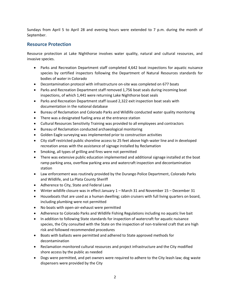Sundays from April 5 to April 28 and evening hours were extended to 7 p.m. during the month of September.

#### **Resource Protection**

Resource protection at Lake Nighthorse involves water quality, natural and cultural resources, and invasive species.

- Parks and Recreation Department staff completed 4,642 boat inspections for aquatic nuisance species by certified inspectors following the Department of Natural Resources standards for bodies of water in Colorado
- Decontamination protocol with infrastructure on-site was completed on 677 boats
- Parks and Recreation Department staff removed 1,756 boat seals during incoming boat inspections, of which 1,441 were returning Lake Nighthorse boat seals
- Parks and Recreation Department staff issued 2,322 exit inspection boat seals with documentation in the national database
- Bureau of Reclamation and Colorado Parks and Wildlife conducted water quality monitoring
- There was a designated fueling area at the entrance station
- Cultural Resources Sensitivity Training was provided to all employees and contractors
- Bureau of Reclamation conducted archaeological monitoring
- Golden Eagle surveying was implemented prior to construction activities
- City staff restricted public shoreline access to 25 feet above high-water line and in developed recreation areas with the assistance of signage installed by Reclamation
- Smoking, all types of grilling and fires were not permitted
- There was extensive public education implemented and additional signage installed at the boat ramp parking area, overflow parking area and watercraft inspection and decontamination station
- Law enforcement was routinely provided by the Durango Police Department, Colorado Parks and Wildlife, and La Plata County Sheriff
- Adherence to City, State and Federal Laws
- Winter wildlife closure was in effect January 1 March 31 and November 15 December 31
- Houseboats that are used as a human dwelling; cabin cruisers with full living quarters on board, including plumbing were not permitted
- No boats with open-air-exhaust were permitted
- Adherence to Colorado Parks and Wildlife Fishing Regulations including no aquatic live bait
- In addition to following State standards for inspection of watercraft for aquatic nuisance species, the City consulted with the State on the inspection of non-trailered craft that are high risk and followed recommended procedures
- Boats with ballasts were permitted and adhered to State approved methods for decontamination
- Reclamation monitored cultural resources and project infrastructure and the City modified shore access by the public as needed
- Dogs were permitted, and pet owners were required to adhere to the City leash law; dog waste dispensers were provided by the City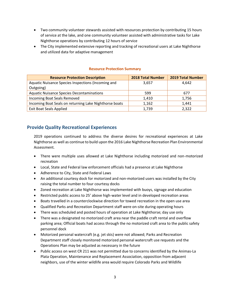- Two community volunteer stewards assisted with resources protection by contributing 15 hours of service at the lake, and one community volunteer assisted with administrative tasks for Lake Nighthorse operations by contributing 12 hours of service
- The City implemented extensive reporting and tracking of recreational users at Lake Nighthorse and utilized data for adaptive management

| <b>Resource Protection Description</b>                 | <b>2018 Total Number</b> | <b>2019 Total Number</b> |
|--------------------------------------------------------|--------------------------|--------------------------|
| Aquatic Nuisance Species Inspections (Incoming and     | 3,657                    | 4.642                    |
| Outgoing)                                              |                          |                          |
| <b>Aquatic Nuisance Species Decontaminations</b>       | 599                      | 677                      |
| Incoming Boat Seals Removed                            | 1,410                    | 1,756                    |
| Incoming Boat Seals on returning Lake Nighthorse boats | 1,162                    | 1,441                    |
| <b>Exit Boat Seals Applied</b>                         | 1,739                    | 2,322                    |

#### **Resource Protection Summary**

## **Provide Quality Recreational Experiences**

2019 operations continued to address the diverse desires for recreational experiences at Lake Nighthorse as well as continue to build upon the 2016 Lake Nighthorse Recreation Plan Environmental Assessment.

- There were multiple uses allowed at Lake Nighthorse including motorized and non-motorized recreation
- Local, State and Federal law enforcement officials had a presence at Lake Nighthorse
- Adherence to City, State and Federal Laws
- An additional courtesy dock for motorized and non-motorized users was installed by the City raising the total number to four courtesy docks
- Zoned recreation at Lake Nighthorse was implemented with buoys, signage and education
- Restricted public access to 25' above high-water level and in developed recreation areas
- Boats travelled in a counterclockwise direction for towed recreation in the open use area
- Qualified Parks and Recreation Department staff were on-site during operating hours
- There was scheduled and posted hours of operation at Lake Nighthorse; day use only
- There was a designated no motorized craft area near the paddle craft rental and overflow parking area; Official boats had access through the no motorized craft area to the public safety personnel dock
- Motorized personal watercraft (e.g. jet skis) were not allowed; Parks and Recreation Department staff closely monitored motorized personal watercraft use requests and the Operations Plan may be adjusted as necessary in the future
- Public access on west CR 211 was not permitted due to concerns identified by the Animas-La Plata Operation, Maintenance and Replacement Association, opposition from adjacent neighbors, use of the winter wildlife area would require Colorado Parks and Wildlife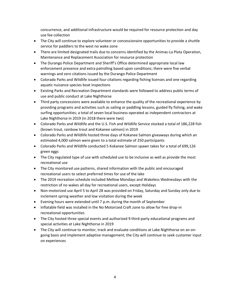concurrence, and additional infrastructure would be required for resource protection and day use fee collection

- The City will continue to explore volunteer or concessionaire opportunities to provide a shuttle service for paddlers to the west no wake zone
- There are limited designated trails due to concerns identified by the Animas-La Plata Operation, Maintenance and Replacement Association for resource protection
- The Durango Police Department and Sheriff's Office determined appropriate local law enforcement presence and extra patrolling based upon conditions; there were five verbal warnings and zero citations issued by the Durango Police Department
- Colorado Parks and Wildlife issued four citations regarding fishing licenses and one regarding aquatic nuisance species boat inspections
- Existing Parks and Recreation Department standards were followed to address public terms of use and public conduct at Lake Nighthorse
- Third party concessions were available to enhance the quality of the recreational experience by providing programs and activities such as sailing or paddling lessons, guided fly fishing, and wake surfing opportunities; a total of seven local business operated as independent contractors at Lake Nighthorse in 2019 (in 2018 there were two)
- Colorado Parks and Wildlife and the U.S. Fish and Wildlife Service stocked a total of 186,228 fish (brown trout, rainbow trout and Kokanee salmon) in 2019
- Colorado Parks and Wildlife hosted three days of Kokanee Salmon giveaways during which an estimated 4,000 salmon were given to a total estimate of 250 participants
- Colorado Parks and Wildlife conducted 5 Kokanee Salmon spawn takes for a total of 699,126 green eggs
- The City regulated type of use with scheduled use to be inclusive as well as provide the most recreational use
- The City monitored use patterns, shared information with the public and encouraged recreational users to select preferred times for use of the lake
- The 2019 recreation schedule included Mellow Mondays and Wakeless Wednesdays with the restriction of no wakes all day for recreational users, except Holidays
- Non-motorized use April 5 to April 28 was provided on Friday, Saturday and Sunday only due to inclement spring weather and low visitation during the week
- Evening hours were extended until 7 p.m. during the month of September
- Inflatable field was installed in the No Motorized Craft zone to allow for free drop-in recreational opportunities
- The City hosted three special events and authorized 9 third-party educational programs and special activities at Lake Nighthorse in 2019
- The City will continue to monitor, track and evaluate conditions at Lake Nighthorse on an ongoing basis and implement adaptive management; the City will continue to seek customer input on experiences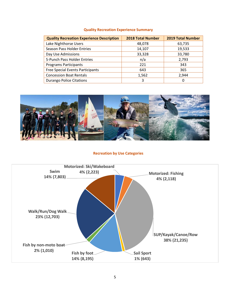#### **Quality Recreation Experience Summary**

| <b>Quality Recreation Experience Description</b> | <b>2018 Total Number</b> | <b>2019 Total Number</b> |
|--------------------------------------------------|--------------------------|--------------------------|
| Lake Nighthorse Users                            | 48,078                   | 63,735                   |
| <b>Season Pass Holder Entries</b>                | 14,107                   | 19,533                   |
| Day Use Admissions                               | 33,328                   | 33,780                   |
| 5-Punch Pass Holder Entries                      | n/a                      | 2,793                    |
| <b>Programs Participants</b>                     | 221                      | 343                      |
| <b>Free Special Events Participants</b>          | 643                      | 365                      |
| <b>Concession Boat Rentals</b>                   | 1,562                    | 2.944                    |
| <b>Durango Police Citations</b>                  | 3                        |                          |



#### **Recreation by Use Categories**

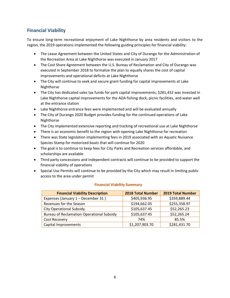# **Financial Viability**

To ensure long-term recreational enjoyment of Lake Nighthorse by area residents and visitors to the region, the 2019 operations implemented the following guiding principles for financial viability:

- The Lease Agreement between the United States and City of Durango for the Administration of the Recreation Area at Lake Nighthorse was executed in January 2017
- The Cost Share Agreement between the U.S. Bureau of Reclamation and City of Durango was executed in September 2018 to formalize the plan to equally shares the cost of capital improvements and operational deficits at Lake Nighthorse
- The City will continue to seek and secure grant funding for capital improvements at Lake Nighthorse
- The City has dedicated sales tax funds for park capital improvements; \$281,432 was invested in Lake Nighthorse capital improvements for the ADA fishing dock, picnic facilities, and water well at the entrance station
- Lake Nighthorse entrance fees were implemented and will be evaluated annually
- The City of Durango 2020 Budget provides funding for the continued operations of Lake Nighthorse
- The City implemented extensive reporting and tracking of recreational use at Lake Nighthorse
- There is an economic benefit to the region with opening Lake Nighthorse for recreation
- There was State legislation implementing fees in 2019 associated with an Aquatic Nuisance Species Stamp for motorized boats that will continue for 2020
- The goal is to continue to keep fees for City Parks and Recreation services affordable, and scholarships are available
- Third party concessions and independent contracts will continue to be provided to support the financial viability of operations
- Special Use Permits will continue to be provided by the City which may result in limiting public access to the area under permit

| <b>Financial Viability Description</b>           | <b>2018 Total Number</b> | <b>2019 Total Number</b> |
|--------------------------------------------------|--------------------------|--------------------------|
| Expenses (January 1 - December 31)               | \$405,936.95             | \$359,889.44             |
| Revenues for the Season                          | \$194,662.05             | \$255,358.97             |
| <b>City Operational Subsidy</b>                  | \$105,637.45             | \$52,265.23              |
| <b>Bureau of Reclamation Operational Subsidy</b> | \$105,637.45             | \$52,265.24              |
| Cost Recovery                                    | 74%                      | 85.5%                    |
| Capital Improvements                             | \$1,207,903.70           | \$281,431.70             |

#### **Financial Viability Summary**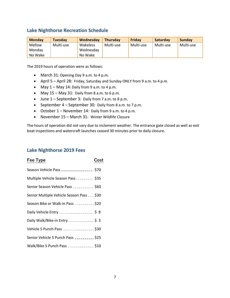#### **Lake Nighthorse Recreation Schedule**

| <b>Monday</b> | <b>Tuesday</b> | Wednesday | <b>Thursday</b> | Friday    | <b>Saturdav</b> | <b>Sunday</b> |
|---------------|----------------|-----------|-----------------|-----------|-----------------|---------------|
| Mellow        | Multi-use      | Wakeless  | Multi-use       | Multi-use | Multi-use       | Multi-use     |
| Mondav        |                | Wednesday |                 |           |                 |               |
| No Wake       |                | No Wake   |                 |           |                 |               |

The 2019 hours of operation were as follows:

- March 31: Opening Day 9 a.m. to 4 p.m.
- April 5 April 28: Friday, Saturday and Sunday ONLY from 9 a.m. to 4 p.m.
- May  $1 -$  May  $14$ : Daily from 9 a.m. to 4 p.m.
- May 15 May 31: Daily from 8 a.m. to 6 p.m.
- June 1 September 3: Daily from 7 a.m. to 8 p.m.
- September 4 September 30: Daily from 8 a.m. to 7 p.m.
- October 1 November 14: Daily from 9 a.m. to 4 p.m.
- November 15 March 31: Winter Wildlife Closure

The hours of operation did not vary due to inclement weather. The entrance gate closed as well as exit boat inspections and watercraft launches ceased 30 minutes prior to daily closure.

#### **Lake Nighthorse 2019 Fees**

| Fee Type                                     | Cost |
|----------------------------------------------|------|
| Season Vehicle Pass ________________ \$70    |      |
| Multiple Vehicle Season Pass ________ \$35   |      |
| Senior Season Vehicle Pass __________ \$60   |      |
| Senior Multiple Vehicle Season Pass ___ \$30 |      |
| Season Bike or Walk-in Pass __________ \$20  |      |
| Daily Vehicle Entry __________________ \$8   |      |
| Daily Walk/Bike-in Entry _____________ \$ 3  |      |
| Vehicle 5 Punch Pass ________________ \$30   |      |
| Senior Vehicle 5 Punch Pass __________ \$25  |      |
| Walk/Bike 5 Punch Pass ____________ \$10     |      |